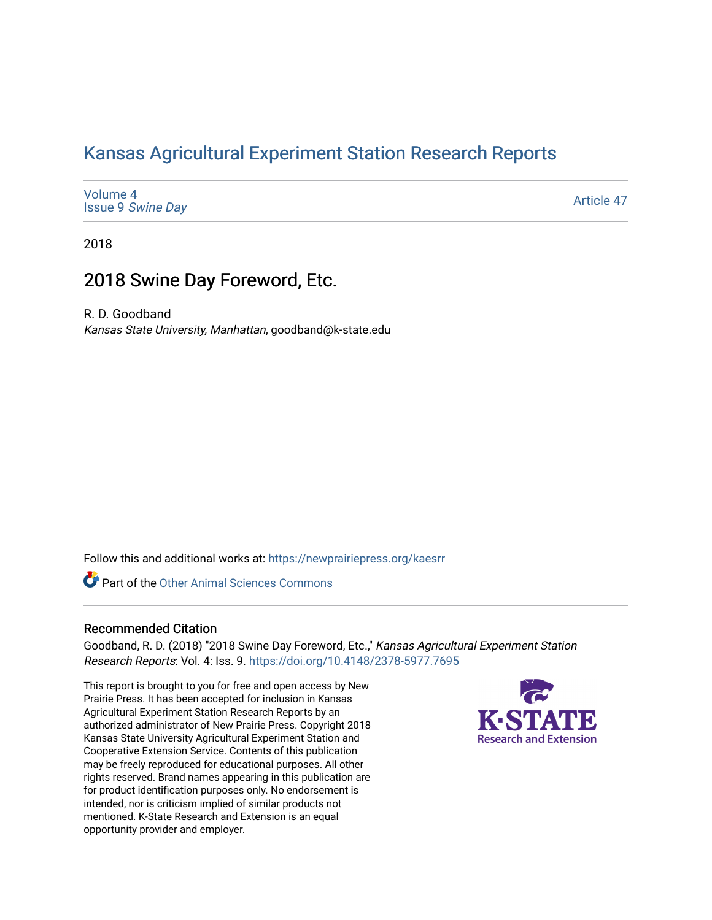## [Kansas Agricultural Experiment Station Research Reports](https://newprairiepress.org/kaesrr)

[Volume 4](https://newprairiepress.org/kaesrr/vol4) Issue 9 [Swine Day](https://newprairiepress.org/kaesrr/vol4/iss9)

[Article 47](https://newprairiepress.org/kaesrr/vol4/iss9/47) 

2018

### 2018 Swine Day Foreword, Etc.

R. D. Goodband

Kansas State University, Manhattan, goodband@k-state.edu

Follow this and additional works at: [https://newprairiepress.org/kaesrr](https://newprairiepress.org/kaesrr?utm_source=newprairiepress.org%2Fkaesrr%2Fvol4%2Fiss9%2F47&utm_medium=PDF&utm_campaign=PDFCoverPages) 

Part of the [Other Animal Sciences Commons](http://network.bepress.com/hgg/discipline/82?utm_source=newprairiepress.org%2Fkaesrr%2Fvol4%2Fiss9%2F47&utm_medium=PDF&utm_campaign=PDFCoverPages)

#### Recommended Citation

Goodband, R. D. (2018) "2018 Swine Day Foreword, Etc.," Kansas Agricultural Experiment Station Research Reports: Vol. 4: Iss. 9.<https://doi.org/10.4148/2378-5977.7695>

This report is brought to you for free and open access by New Prairie Press. It has been accepted for inclusion in Kansas Agricultural Experiment Station Research Reports by an authorized administrator of New Prairie Press. Copyright 2018 Kansas State University Agricultural Experiment Station and Cooperative Extension Service. Contents of this publication may be freely reproduced for educational purposes. All other rights reserved. Brand names appearing in this publication are for product identification purposes only. No endorsement is intended, nor is criticism implied of similar products not mentioned. K-State Research and Extension is an equal opportunity provider and employer.

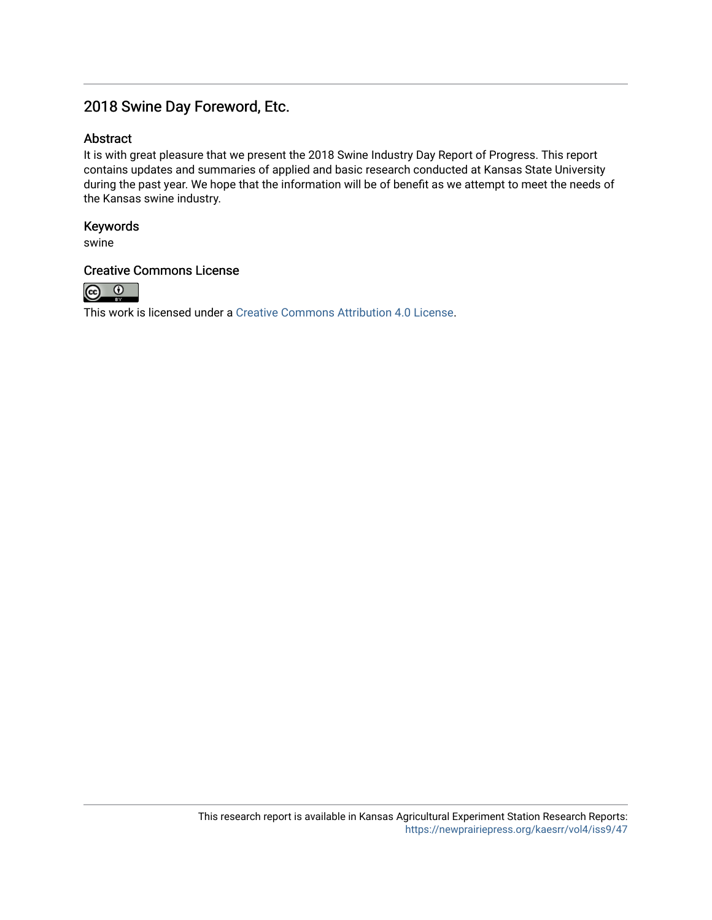### 2018 Swine Day Foreword, Etc.

#### Abstract

It is with great pleasure that we present the 2018 Swine Industry Day Report of Progress. This report contains updates and summaries of applied and basic research conducted at Kansas State University during the past year. We hope that the information will be of benefit as we attempt to meet the needs of the Kansas swine industry.

#### Keywords

swine

#### Creative Commons License



This work is licensed under a [Creative Commons Attribution 4.0 License](https://creativecommons.org/licenses/by/4.0/).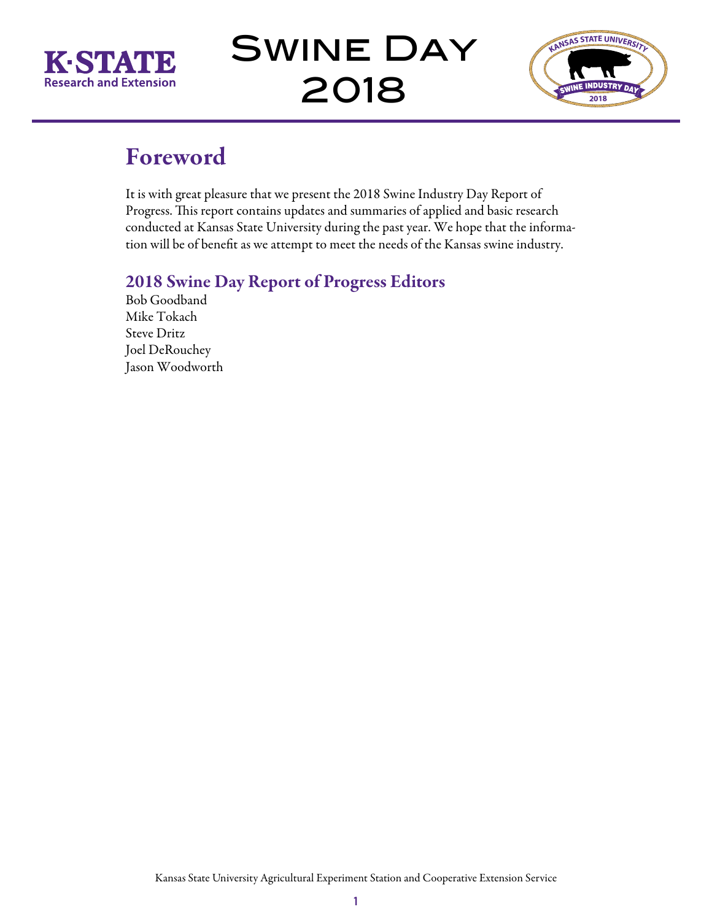

Swine Day 2018



## Foreword

It is with great pleasure that we present the 2018 Swine Industry Day Report of Progress. This report contains updates and summaries of applied and basic research conducted at Kansas State University during the past year. We hope that the information will be of benefit as we attempt to meet the needs of the Kansas swine industry.

## 2018 Swine Day Report of Progress Editors

Bob Goodband Mike Tokach Steve Dritz Joel DeRouchey Jason Woodworth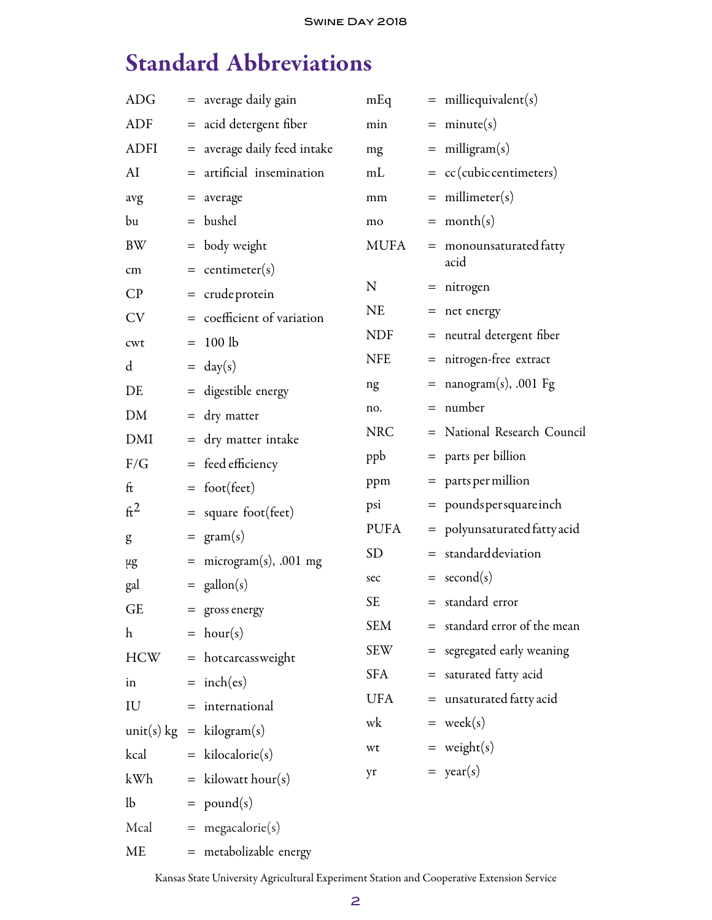## Standard Abbreviations

| ADG                       | = average daily gain                             | mEq         |     | $=$ milliequivalent(s)         |
|---------------------------|--------------------------------------------------|-------------|-----|--------------------------------|
| <b>ADF</b>                | = acid detergent fiber                           | min         |     | $=$ minute(s)                  |
| <b>ADFI</b>               | = average daily feed intake                      | mg          |     | $=$ milligram(s)               |
| AI                        | $=$ artificial insemination                      | mL          |     | $=$ cc(cubic centimeters)      |
| avg                       | $=$ average                                      | mm          |     | $=$ millimeter(s)              |
| bu                        | $=$ bushel                                       | mo          |     | $=$ month(s)                   |
| BW                        | $=$ body weight                                  | <b>MUFA</b> |     | $=$ monounsaturated fatty      |
| cm                        | $=$ centimeter(s)                                |             |     | acid                           |
| CP                        | $=$ crude protein                                | N           |     | $=$ nitrogen                   |
| <b>CV</b>                 | $=$ coefficient of variation                     | <b>NE</b>   |     | $=$ net energy                 |
| cwt                       | $= 100$ lb                                       | <b>NDF</b>  |     | = neutral detergent fiber      |
| $\mathbf d$               | $= \text{day}(s)$                                | <b>NFE</b>  |     | = nitrogen-free extract        |
| DE                        | = digestible energy                              | ng          |     | $=$ nanogram(s), .001 Fg       |
| DM                        | $=$ dry matter                                   | no.         | $=$ | number                         |
| DMI                       | = dry matter intake                              | <b>NRC</b>  |     | = National Research Council    |
| F/G                       | $=$ feed efficiency                              | ppb         |     | = parts per billion            |
| ft                        | $=$ foot(feet)                                   | ppm         |     | $=$ parts per million          |
| $\mathrm{ft}^2$           | $=$ square foot(feet)                            | psi         |     | = poundspersquareinch          |
| g                         | $= \text{gram}(s)$                               | <b>PUFA</b> |     | $=$ polyunsaturated fatty acid |
| μg                        | $=$ microgram(s), .001 mg                        | <b>SD</b>   |     | $=$ standard deviation         |
| gal                       | $=$ gallon(s)                                    | sec         |     | $=$ second(s)                  |
| <b>GE</b>                 | $=$ gross energy                                 | <b>SE</b>   |     | = standard error               |
| $\boldsymbol{\mathrm{h}}$ | $= hour(s)$                                      | <b>SEM</b>  |     | = standard error of the mean   |
| HCW                       | = hotcarcassweight                               | SEW         |     | = segregated early weaning     |
| in                        | $=$ inch(es)                                     | <b>SFA</b>  |     | = saturated fatty acid         |
| IU                        | $=$ international                                | UFA         |     | $=$ unsaturated fatty acid     |
|                           | $\text{unit}(s) \text{ kg} = \text{kilogram}(s)$ | wk          |     | $=$ week(s)                    |
| kcal                      | $=$ kilocalorie(s)                               | wt          |     | $=$ weight(s)                  |
| kWh                       | $=$ kilowatt hour(s)                             | yr          |     | $=$ year(s)                    |
| lb                        | $=$ pound(s)                                     |             |     |                                |
| Mcal                      | $=$ megacalorie(s)                               |             |     |                                |
| ME                        | = metabolizable energy                           |             |     |                                |
|                           |                                                  |             |     |                                |

Kansas State University Agricultural Experiment Station and Cooperative Extension Service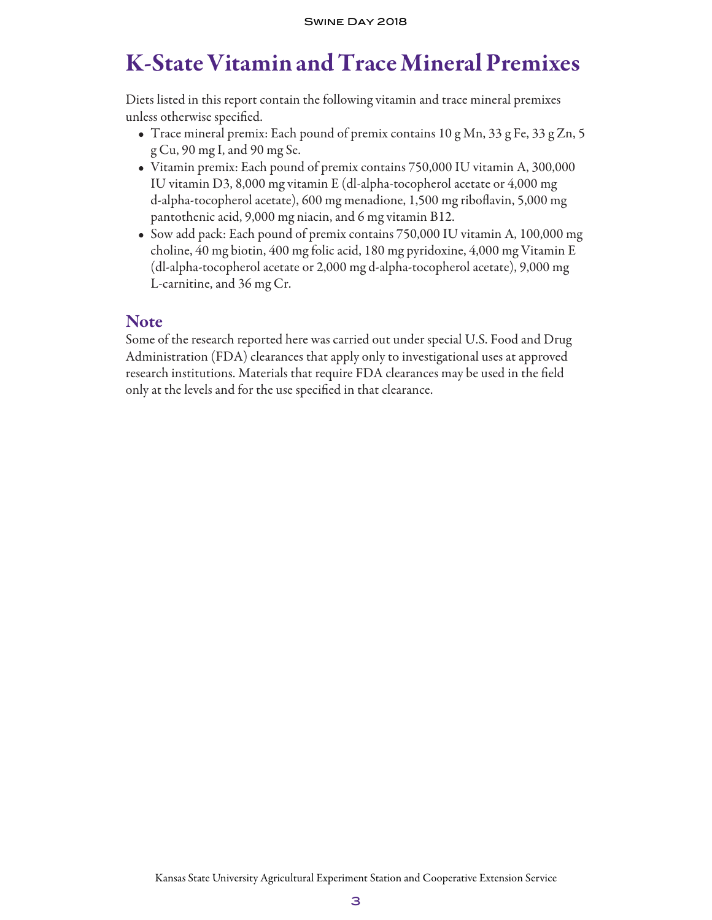## K-State Vitamin and Trace Mineral Premixes

Diets listed in this report contain the following vitamin and trace mineral premixes unless otherwise specified.

- Trace mineral premix: Each pound of premix contains 10 g Mn, 33 g Fe, 33 g Zn, 5 g Cu, 90 mg I, and 90 mg Se.
- Vitamin premix: Each pound of premix contains 750,000 IU vitamin A, 300,000 IU vitamin D3, 8,000 mg vitamin E (dl-alpha-tocopherol acetate or 4,000 mg d-alpha-tocopherol acetate), 600 mg menadione, 1,500 mg riboflavin, 5,000 mg pantothenic acid, 9,000 mg niacin, and 6 mg vitamin B12.
- Sow add pack: Each pound of premix contains 750,000 IU vitamin A, 100,000 mg choline, 40 mg biotin, 400 mg folic acid, 180 mg pyridoxine, 4,000 mg Vitamin E (dl-alpha-tocopherol acetate or 2,000 mg d-alpha-tocopherol acetate), 9,000 mg L-carnitine, and 36 mg Cr.

#### Note

Some of the research reported here was carried out under special U.S. Food and Drug Administration (FDA) clearances that apply only to investigational uses at approved research institutions. Materials that require FDA clearances may be used in the field only at the levels and for the use specified in that clearance.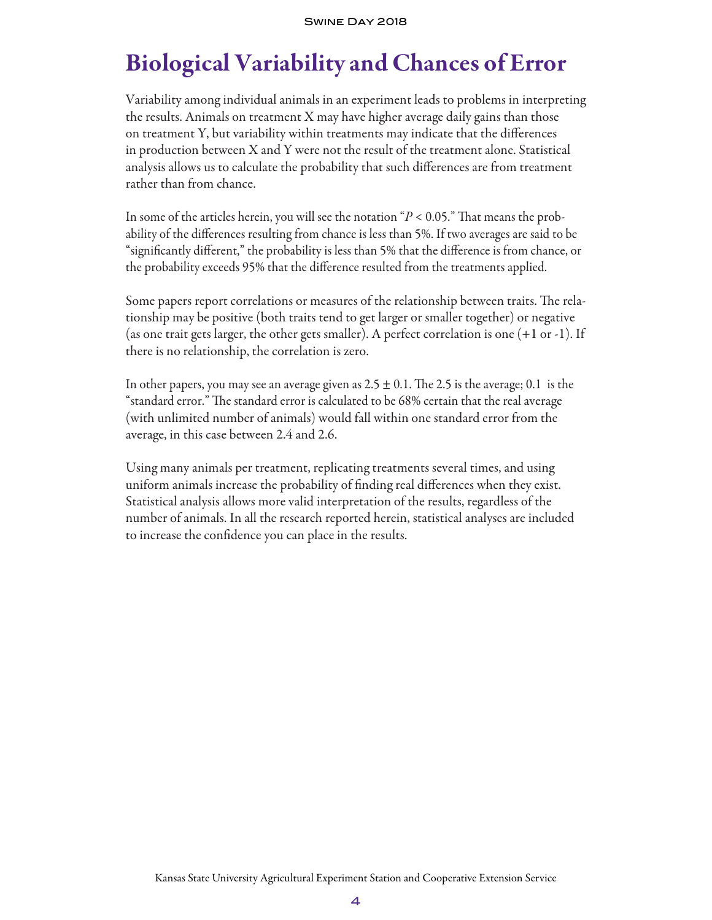# Biological Variability and Chances of Error

Variability among individual animals in an experiment leads to problems in interpreting the results. Animals on treatment X may have higher average daily gains than those on treatment Y, but variability within treatments may indicate that the differences in production between X and Y were not the result of the treatment alone. Statistical analysis allows us to calculate the probability that such differences are from treatment rather than from chance.

In some of the articles herein, you will see the notation "*P* < 0.05." That means the probability of the differences resulting from chance is less than 5%. If two averages are said to be "significantly different," the probability is less than 5% that the difference is from chance, or the probability exceeds 95% that the difference resulted from the treatments applied.

Some papers report correlations or measures of the relationship between traits. The relationship may be positive (both traits tend to get larger or smaller together) or negative (as one trait gets larger, the other gets smaller). A perfect correlation is one (+1 or -1). If there is no relationship, the correlation is zero.

In other papers, you may see an average given as  $2.5 \pm 0.1$ . The 2.5 is the average; 0.1 is the "standard error." The standard error is calculated to be 68% certain that the real average (with unlimited number of animals) would fall within one standard error from the average, in this case between 2.4 and 2.6.

Using many animals per treatment, replicating treatments several times, and using uniform animals increase the probability of finding real differences when they exist. Statistical analysis allows more valid interpretation of the results, regardless of the number ofanimals. In all the research reported herein, statistical analyses are included to increase the confidence you can place in the results.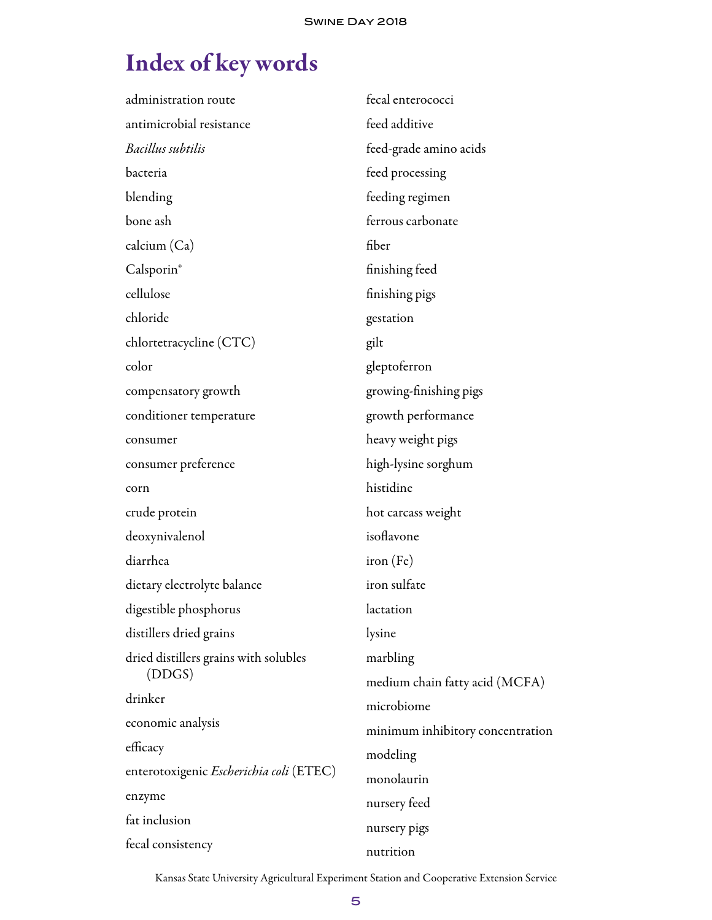# Index of key words

| administration route                           | fecal enterococci                |  |  |
|------------------------------------------------|----------------------------------|--|--|
| antimicrobial resistance                       | feed additive                    |  |  |
| Bacillus subtilis                              | feed-grade amino acids           |  |  |
| bacteria                                       | feed processing                  |  |  |
| blending                                       | feeding regimen                  |  |  |
| bone ash                                       | ferrous carbonate                |  |  |
| calcium (Ca)                                   | fiber                            |  |  |
| Calsporin®                                     | finishing feed                   |  |  |
| cellulose                                      | finishing pigs                   |  |  |
| chloride                                       | gestation                        |  |  |
| chlortetracycline (CTC)                        | gilt                             |  |  |
| color                                          | gleptoferron                     |  |  |
| compensatory growth                            | growing-finishing pigs           |  |  |
| conditioner temperature                        | growth performance               |  |  |
| consumer                                       | heavy weight pigs                |  |  |
| consumer preference                            | high-lysine sorghum              |  |  |
| corn                                           | histidine                        |  |  |
| crude protein                                  | hot carcass weight               |  |  |
| deoxynivalenol                                 | isoflavone                       |  |  |
| diarrhea                                       | iron (Fe)                        |  |  |
| dietary electrolyte balance                    | iron sulfate                     |  |  |
| digestible phosphorus                          | lactation                        |  |  |
| distillers dried grains                        | lysine                           |  |  |
| dried distillers grains with solubles          | marbling                         |  |  |
| (DDGS)                                         | medium chain fatty acid (MCFA)   |  |  |
| drinker                                        | microbiome                       |  |  |
| economic analysis                              | minimum inhibitory concentration |  |  |
| efficacy                                       | modeling                         |  |  |
| enterotoxigenic <i>Escherichia coli</i> (ETEC) | monolaurin                       |  |  |
| enzyme                                         | nursery feed                     |  |  |
| fat inclusion                                  | nursery pigs                     |  |  |
| fecal consistency                              | nutrition                        |  |  |

Kansas State University Agricultural Experiment Station and Cooperative Extension Service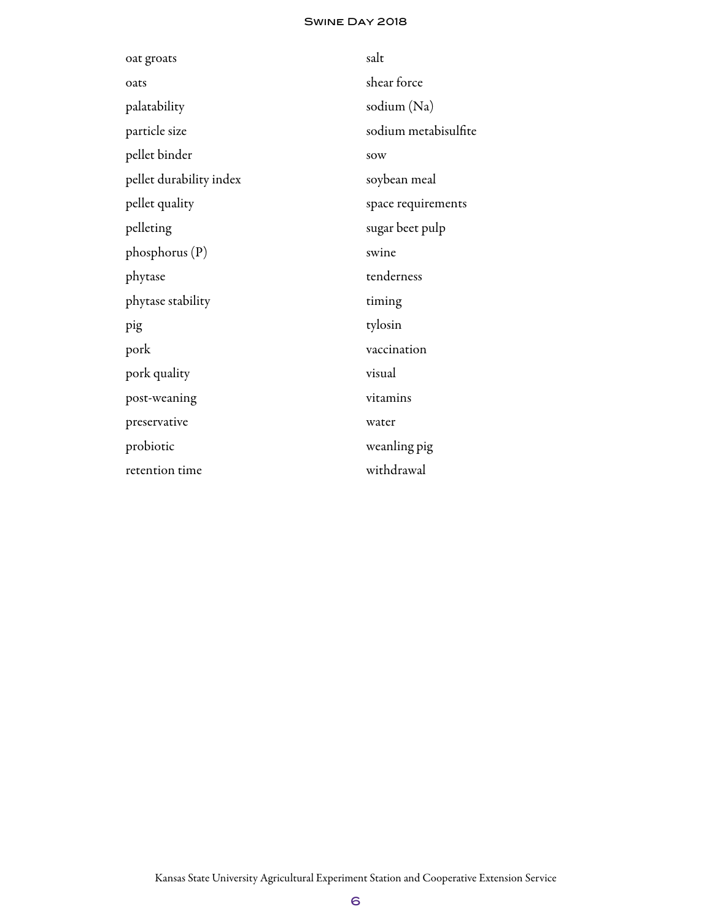#### Swine Day 2018

| oat groats              | salt                 |
|-------------------------|----------------------|
| oats                    | shear force          |
| palatability            | sodium (Na)          |
| particle size           | sodium metabisulfite |
| pellet binder           | sow                  |
| pellet durability index | soybean meal         |
| pellet quality          | space requirements   |
| pelleting               | sugar beet pulp      |
| $phopus$ (P)            | swine                |
| phytase                 | tenderness           |
| phytase stability       | timing               |
| pig                     | tylosin              |
| pork                    | vaccination          |
| pork quality            | visual               |
| post-weaning            | vitamins             |
| preservative            | water                |
| probiotic               | weanling pig         |
| retention time          | withdrawal           |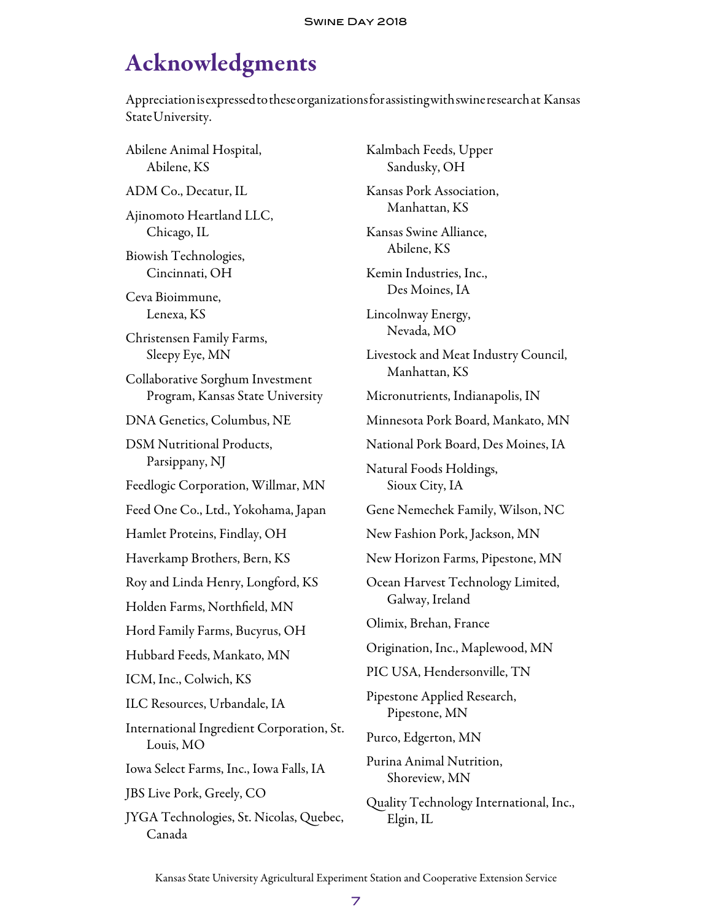## Acknowledgments

Appreciation is expressed to these organizations for assisting with swine research at Kansas State University.

Abilene Animal Hospital, Abilene, KS ADM Co., Decatur, IL Ajinomoto Heartland LLC, Chicago, IL Biowish Technologies, Cincinnati, OH Ceva Bioimmune, Lenexa, KS Christensen Family Farms, Sleepy Eye, MN Collaborative Sorghum Investment Program, Kansas State University DNA Genetics, Columbus, NE DSM Nutritional Products, Parsippany, NJ Feedlogic Corporation, Willmar, MN Feed One Co., Ltd., Yokohama, Japan Hamlet Proteins, Findlay, OH Haverkamp Brothers, Bern, KS Roy and Linda Henry, Longford, KS Holden Farms, Northfield, MN Hord Family Farms, Bucyrus, OH Hubbard Feeds, Mankato, MN ICM, Inc., Colwich, KS ILC Resources, Urbandale, IA International Ingredient Corporation, St. Louis, MO Iowa Select Farms, Inc., Iowa Falls, IA JBS Live Pork, Greely, CO JYGA Technologies, St. Nicolas, Quebec, Canada

Kalmbach Feeds, Upper Sandusky, OH Kansas Pork Association, Manhattan, KS Kansas Swine Alliance, Abilene, KS Kemin Industries, Inc., Des Moines, IA Lincolnway Energy, Nevada, MO Livestock and Meat Industry Council, Manhattan, KS Micronutrients, Indianapolis, IN Minnesota Pork Board, Mankato, MN National Pork Board, Des Moines, IA Natural Foods Holdings, Sioux City, IA Gene Nemechek Family, Wilson, NC New Fashion Pork, Jackson, MN New Horizon Farms, Pipestone, MN Ocean Harvest Technology Limited, Galway, Ireland Olimix, Brehan, France Origination, Inc., Maplewood, MN PIC USA, Hendersonville, TN Pipestone Applied Research, Pipestone, MN Purco, Edgerton, MN Purina Animal Nutrition, Shoreview, MN Quality Technology International, Inc., Elgin, IL

Kansas State University Agricultural Experiment Station and Cooperative Extension Service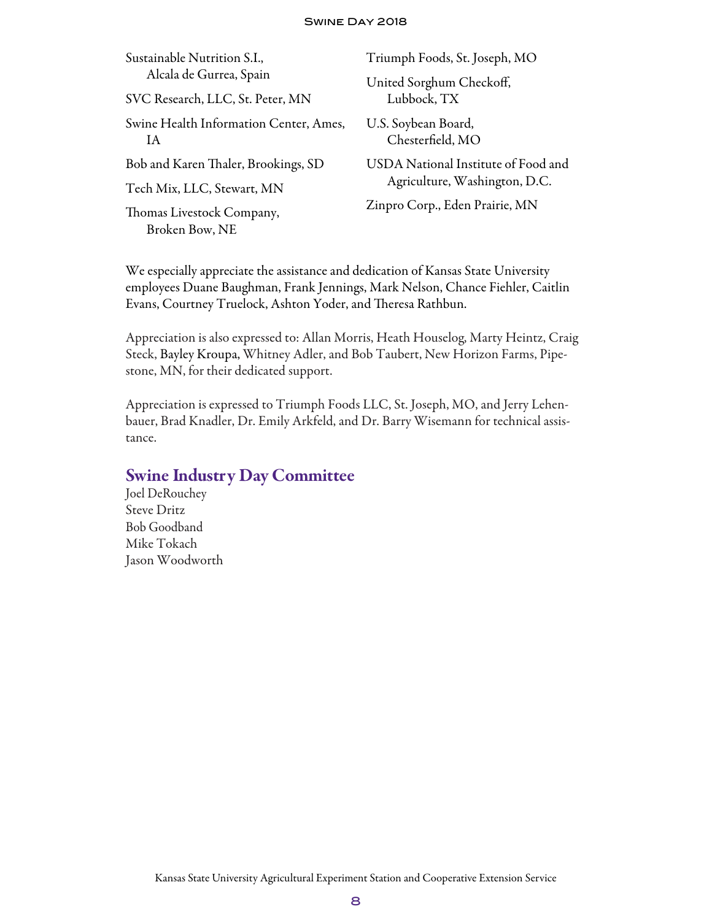#### Swine Day 2018

| Sustainable Nutrition S.I.,                  | Triumph Foods, St. Joseph, MO                                        |  |  |
|----------------------------------------------|----------------------------------------------------------------------|--|--|
| Alcala de Gurrea, Spain                      | United Sorghum Checkoff,<br>Lubbock, TX                              |  |  |
| SVC Research, LLC, St. Peter, MN             |                                                                      |  |  |
| Swine Health Information Center, Ames,<br>ΙA | U.S. Soybean Board,<br>Chesterfield, MO                              |  |  |
| Bob and Karen Thaler, Brookings, SD          | USDA National Institute of Food and<br>Agriculture, Washington, D.C. |  |  |
| Tech Mix, LLC, Stewart, MN                   |                                                                      |  |  |
| Thomas Livestock Company,<br>Broken Bow, NE  | Zinpro Corp., Eden Prairie, MN                                       |  |  |
|                                              |                                                                      |  |  |

We especially appreciate the assistance and dedication of Kansas State University employees Duane Baughman, Frank Jennings, Mark Nelson, Chance Fiehler, Caitlin Evans, Courtney Truelock, Ashton Yoder, and Theresa Rathbun.

Appreciation is also expressed to: Allan Morris, Heath Houselog, Marty Heintz, Craig Steck, Bayley Kroupa, Whitney Adler, and Bob Taubert, New Horizon Farms, Pipestone, MN, for their dedicated support.

Appreciation is expressed to Triumph Foods LLC, St. Joseph, MO, and Jerry Lehenbauer, Brad Knadler, Dr. Emily Arkfeld, and Dr. Barry Wisemann for technical assistance.

#### **Swine Industry Day Committee**

Joel DeRouchey Steve Dritz Bob Goodband Mike Tokach Jason Woodworth